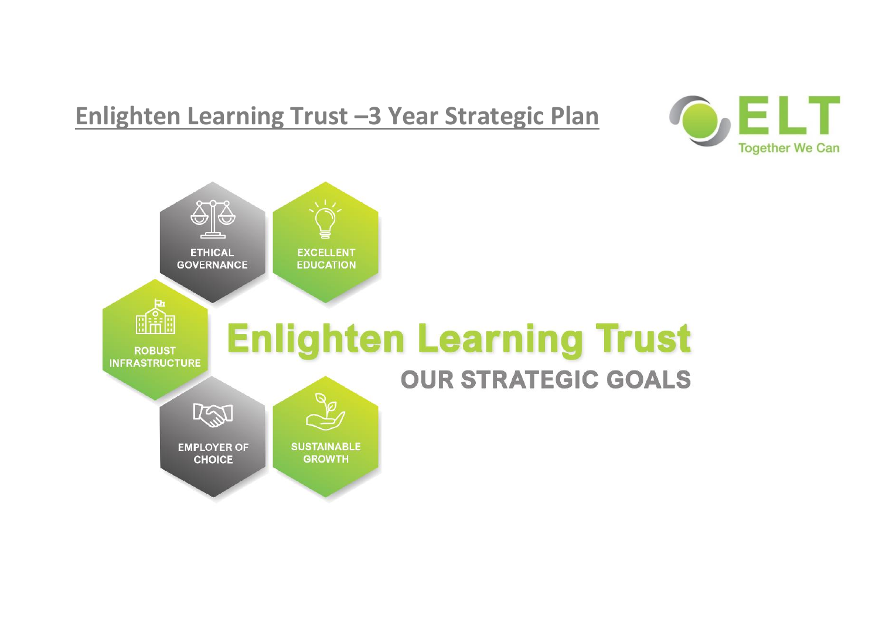## **Enlighten Learning Trust –3 Year Strategic Plan**



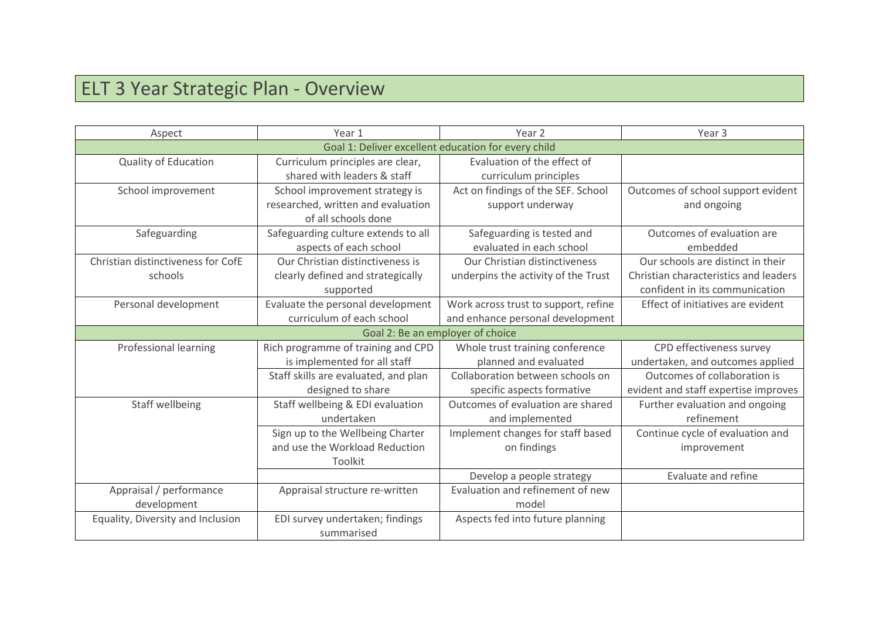## ELT 3 Year Strategic Plan - Overview

| Aspect                             | Year 1                               | Year <sub>2</sub>                                   | Year <sub>3</sub>                     |
|------------------------------------|--------------------------------------|-----------------------------------------------------|---------------------------------------|
|                                    |                                      | Goal 1: Deliver excellent education for every child |                                       |
| <b>Quality of Education</b>        | Curriculum principles are clear,     | Evaluation of the effect of                         |                                       |
|                                    | shared with leaders & staff          | curriculum principles                               |                                       |
| School improvement                 | School improvement strategy is       | Act on findings of the SEF. School                  | Outcomes of school support evident    |
|                                    | researched, written and evaluation   | support underway                                    | and ongoing                           |
|                                    | of all schools done                  |                                                     |                                       |
| Safeguarding                       | Safeguarding culture extends to all  | Safeguarding is tested and                          | Outcomes of evaluation are            |
|                                    | aspects of each school               | evaluated in each school                            | embedded                              |
| Christian distinctiveness for CofE | Our Christian distinctiveness is     | Our Christian distinctiveness                       | Our schools are distinct in their     |
| schools                            | clearly defined and strategically    | underpins the activity of the Trust                 | Christian characteristics and leaders |
|                                    | supported                            |                                                     | confident in its communication        |
| Personal development               | Evaluate the personal development    | Work across trust to support, refine                | Effect of initiatives are evident     |
|                                    | curriculum of each school            | and enhance personal development                    |                                       |
|                                    |                                      | Goal 2: Be an employer of choice                    |                                       |
| Professional learning              | Rich programme of training and CPD   | Whole trust training conference                     | CPD effectiveness survey              |
|                                    | is implemented for all staff         | planned and evaluated                               | undertaken, and outcomes applied      |
|                                    | Staff skills are evaluated, and plan | Collaboration between schools on                    | Outcomes of collaboration is          |
|                                    | designed to share                    | specific aspects formative                          | evident and staff expertise improves  |
| Staff wellbeing                    | Staff wellbeing & EDI evaluation     | Outcomes of evaluation are shared                   | Further evaluation and ongoing        |
|                                    | undertaken                           | and implemented                                     | refinement                            |
|                                    | Sign up to the Wellbeing Charter     | Implement changes for staff based                   | Continue cycle of evaluation and      |
|                                    | and use the Workload Reduction       | on findings                                         | improvement                           |
|                                    | Toolkit                              |                                                     |                                       |
|                                    |                                      | Develop a people strategy                           | Evaluate and refine                   |
| Appraisal / performance            | Appraisal structure re-written       | Evaluation and refinement of new                    |                                       |
| development                        |                                      | model                                               |                                       |
| Equality, Diversity and Inclusion  | EDI survey undertaken; findings      | Aspects fed into future planning                    |                                       |
|                                    | summarised                           |                                                     |                                       |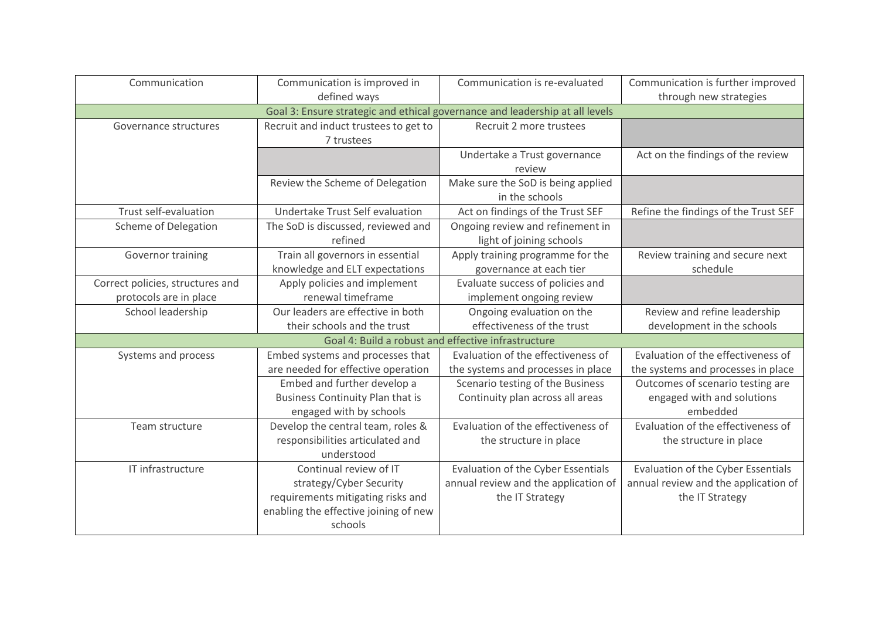| Communication                    | Communication is improved in                                                 | Communication is re-evaluated                       | Communication is further improved    |  |  |  |  |
|----------------------------------|------------------------------------------------------------------------------|-----------------------------------------------------|--------------------------------------|--|--|--|--|
|                                  | defined ways                                                                 |                                                     | through new strategies               |  |  |  |  |
|                                  | Goal 3: Ensure strategic and ethical governance and leadership at all levels |                                                     |                                      |  |  |  |  |
| Governance structures            | Recruit and induct trustees to get to                                        | Recruit 2 more trustees                             |                                      |  |  |  |  |
|                                  | 7 trustees                                                                   |                                                     |                                      |  |  |  |  |
|                                  |                                                                              | Undertake a Trust governance                        | Act on the findings of the review    |  |  |  |  |
|                                  |                                                                              | review                                              |                                      |  |  |  |  |
|                                  | Review the Scheme of Delegation                                              | Make sure the SoD is being applied                  |                                      |  |  |  |  |
|                                  |                                                                              | in the schools                                      |                                      |  |  |  |  |
| Trust self-evaluation            | Undertake Trust Self evaluation                                              | Act on findings of the Trust SEF                    | Refine the findings of the Trust SEF |  |  |  |  |
| <b>Scheme of Delegation</b>      | The SoD is discussed, reviewed and                                           | Ongoing review and refinement in                    |                                      |  |  |  |  |
|                                  | refined                                                                      | light of joining schools                            |                                      |  |  |  |  |
| Governor training                | Train all governors in essential                                             | Apply training programme for the                    | Review training and secure next      |  |  |  |  |
|                                  | knowledge and ELT expectations                                               | governance at each tier                             | schedule                             |  |  |  |  |
| Correct policies, structures and | Apply policies and implement                                                 | Evaluate success of policies and                    |                                      |  |  |  |  |
| protocols are in place           | renewal timeframe                                                            | implement ongoing review                            |                                      |  |  |  |  |
| School leadership                | Our leaders are effective in both                                            | Ongoing evaluation on the                           | Review and refine leadership         |  |  |  |  |
|                                  | their schools and the trust                                                  | effectiveness of the trust                          | development in the schools           |  |  |  |  |
|                                  |                                                                              | Goal 4: Build a robust and effective infrastructure |                                      |  |  |  |  |
| Systems and process              | Embed systems and processes that                                             | Evaluation of the effectiveness of                  | Evaluation of the effectiveness of   |  |  |  |  |
|                                  | are needed for effective operation                                           | the systems and processes in place                  | the systems and processes in place   |  |  |  |  |
|                                  | Embed and further develop a                                                  | Scenario testing of the Business                    | Outcomes of scenario testing are     |  |  |  |  |
|                                  | <b>Business Continuity Plan that is</b>                                      | Continuity plan across all areas                    | engaged with and solutions           |  |  |  |  |
|                                  | engaged with by schools                                                      |                                                     | embedded                             |  |  |  |  |
| Team structure                   | Develop the central team, roles &                                            | Evaluation of the effectiveness of                  | Evaluation of the effectiveness of   |  |  |  |  |
|                                  | responsibilities articulated and                                             | the structure in place                              | the structure in place               |  |  |  |  |
|                                  | understood                                                                   |                                                     |                                      |  |  |  |  |
| IT infrastructure                | Continual review of IT                                                       | Evaluation of the Cyber Essentials                  | Evaluation of the Cyber Essentials   |  |  |  |  |
|                                  | strategy/Cyber Security                                                      | annual review and the application of                | annual review and the application of |  |  |  |  |
|                                  | requirements mitigating risks and                                            | the IT Strategy                                     | the IT Strategy                      |  |  |  |  |
|                                  | enabling the effective joining of new                                        |                                                     |                                      |  |  |  |  |
|                                  | schools                                                                      |                                                     |                                      |  |  |  |  |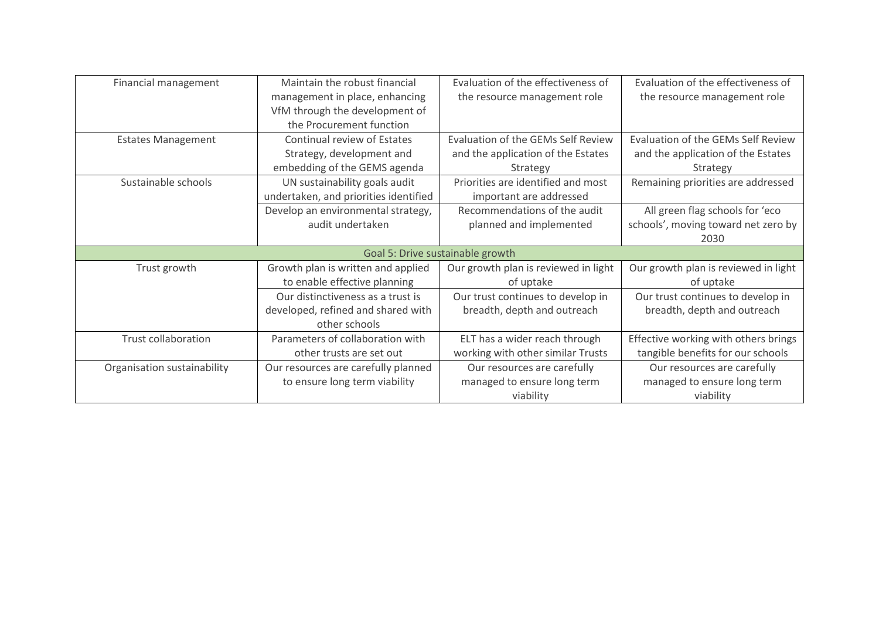| Financial management |                             | Maintain the robust financial         | Evaluation of the effectiveness of   | Evaluation of the effectiveness of   |
|----------------------|-----------------------------|---------------------------------------|--------------------------------------|--------------------------------------|
|                      |                             | management in place, enhancing        | the resource management role         | the resource management role         |
|                      |                             | VfM through the development of        |                                      |                                      |
|                      |                             | the Procurement function              |                                      |                                      |
|                      | <b>Estates Management</b>   | Continual review of Estates           | Evaluation of the GEMs Self Review   | Evaluation of the GEMs Self Review   |
|                      |                             | Strategy, development and             | and the application of the Estates   | and the application of the Estates   |
|                      |                             | embedding of the GEMS agenda          | Strategy                             | Strategy                             |
|                      | Sustainable schools         | UN sustainability goals audit         | Priorities are identified and most   | Remaining priorities are addressed   |
|                      |                             | undertaken, and priorities identified | important are addressed              |                                      |
|                      |                             | Develop an environmental strategy,    | Recommendations of the audit         | All green flag schools for 'eco      |
|                      |                             | audit undertaken                      | planned and implemented              | schools', moving toward net zero by  |
|                      |                             |                                       | 2030                                 |                                      |
|                      |                             |                                       | Goal 5: Drive sustainable growth     |                                      |
|                      | Trust growth                | Growth plan is written and applied    | Our growth plan is reviewed in light | Our growth plan is reviewed in light |
|                      |                             | to enable effective planning          | of uptake                            | of uptake                            |
|                      |                             | Our distinctiveness as a trust is     | Our trust continues to develop in    | Our trust continues to develop in    |
|                      |                             | developed, refined and shared with    | breadth, depth and outreach          | breadth, depth and outreach          |
|                      |                             | other schools                         |                                      |                                      |
|                      | <b>Trust collaboration</b>  | Parameters of collaboration with      | ELT has a wider reach through        | Effective working with others brings |
|                      |                             | other trusts are set out              | working with other similar Trusts    | tangible benefits for our schools    |
|                      | Organisation sustainability | Our resources are carefully planned   | Our resources are carefully          | Our resources are carefully          |
|                      |                             | to ensure long term viability         | managed to ensure long term          | managed to ensure long term          |
|                      |                             |                                       | viability                            | viability                            |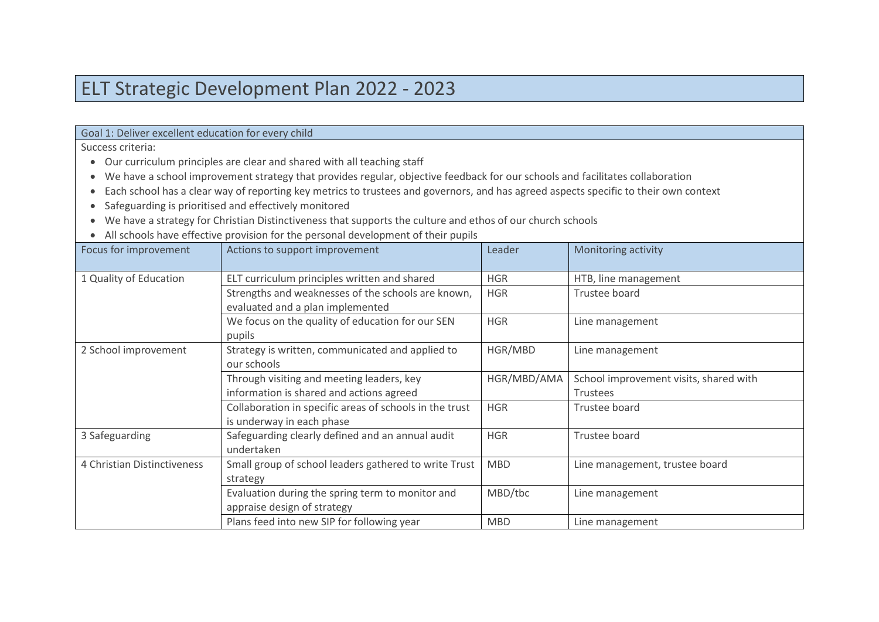## ELT Strategic Development Plan 2022 - 2023

| Goal 1: Deliver excellent education for every child |  |
|-----------------------------------------------------|--|
|-----------------------------------------------------|--|

Success criteria:

- Our curriculum principles are clear and shared with all teaching staff
- We have a school improvement strategy that provides regular, objective feedback for our schools and facilitates collaboration
- Each school has a clear way of reporting key metrics to trustees and governors, and has agreed aspects specific to their own context
- Safeguarding is prioritised and effectively monitored
- We have a strategy for Christian Distinctiveness that supports the culture and ethos of our church schools
- All schools have effective provision for the personal development of their pupils

|                             | providion to the potoon of actor principal at anon-papers |             |                                        |
|-----------------------------|-----------------------------------------------------------|-------------|----------------------------------------|
| Focus for improvement       | Actions to support improvement                            | Leader      | Monitoring activity                    |
| 1 Quality of Education      | ELT curriculum principles written and shared              | <b>HGR</b>  | HTB, line management                   |
|                             | Strengths and weaknesses of the schools are known,        | <b>HGR</b>  | Trustee board                          |
|                             | evaluated and a plan implemented                          |             |                                        |
|                             | We focus on the quality of education for our SEN          | <b>HGR</b>  | Line management                        |
|                             | pupils                                                    |             |                                        |
| 2 School improvement        | Strategy is written, communicated and applied to          | HGR/MBD     | Line management                        |
|                             | our schools                                               |             |                                        |
|                             | Through visiting and meeting leaders, key                 | HGR/MBD/AMA | School improvement visits, shared with |
|                             | information is shared and actions agreed                  |             | <b>Trustees</b>                        |
|                             | Collaboration in specific areas of schools in the trust   | <b>HGR</b>  | Trustee board                          |
|                             | is underway in each phase                                 |             |                                        |
| 3 Safeguarding              | Safeguarding clearly defined and an annual audit          | <b>HGR</b>  | Trustee board                          |
|                             | undertaken                                                |             |                                        |
| 4 Christian Distinctiveness | Small group of school leaders gathered to write Trust     | <b>MBD</b>  | Line management, trustee board         |
|                             | strategy                                                  |             |                                        |
|                             | Evaluation during the spring term to monitor and          | MBD/tbc     | Line management                        |
|                             | appraise design of strategy                               |             |                                        |
|                             | Plans feed into new SIP for following year                | <b>MBD</b>  | Line management                        |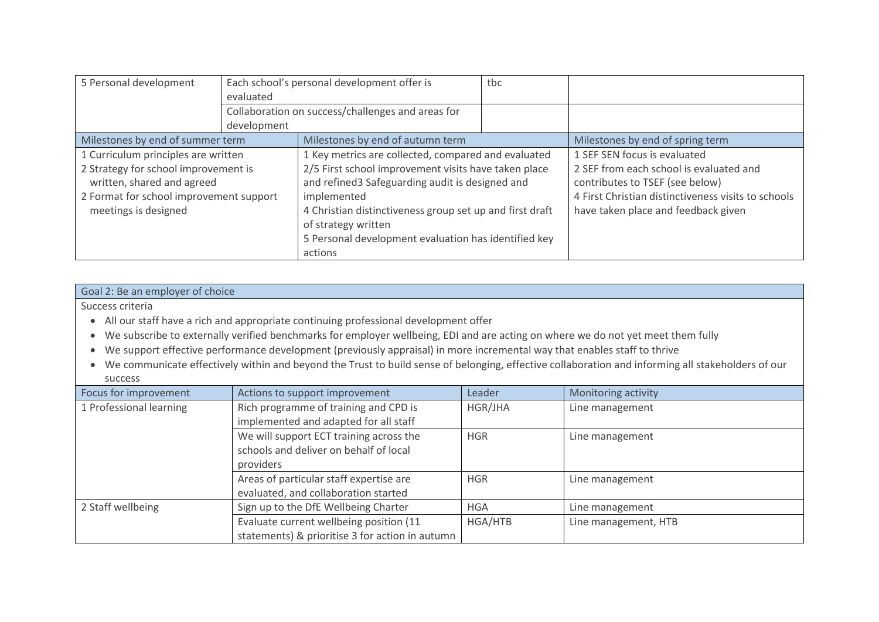| 5 Personal development                                                                                                                | Each school's personal development offer is<br>evaluated |                                                                                                                                                                                                                                                                              | tbc |                                                                                                                                                                          |
|---------------------------------------------------------------------------------------------------------------------------------------|----------------------------------------------------------|------------------------------------------------------------------------------------------------------------------------------------------------------------------------------------------------------------------------------------------------------------------------------|-----|--------------------------------------------------------------------------------------------------------------------------------------------------------------------------|
|                                                                                                                                       | development                                              | Collaboration on success/challenges and areas for                                                                                                                                                                                                                            |     |                                                                                                                                                                          |
| Milestones by end of summer term                                                                                                      |                                                          | Milestones by end of autumn term                                                                                                                                                                                                                                             |     | Milestones by end of spring term                                                                                                                                         |
| 1 Curriculum principles are written                                                                                                   |                                                          | 1 Key metrics are collected, compared and evaluated                                                                                                                                                                                                                          |     | 1 SEF SEN focus is evaluated                                                                                                                                             |
| 2 Strategy for school improvement is<br>written, shared and agreed<br>2 Format for school improvement support<br>meetings is designed |                                                          | 2/5 First school improvement visits have taken place<br>and refined3 Safeguarding audit is designed and<br>implemented<br>4 Christian distinctiveness group set up and first draft<br>of strategy written<br>5 Personal development evaluation has identified key<br>actions |     | 2 SEF from each school is evaluated and<br>contributes to TSEF (see below)<br>4 First Christian distinctiveness visits to schools<br>have taken place and feedback given |

## Goal 2: Be an employer of choice

Success criteria

- All our staff have a rich and appropriate continuing professional development offer
- We subscribe to externally verified benchmarks for employer wellbeing, EDI and are acting on where we do not yet meet them fully
- We support effective performance development (previously appraisal) in more incremental way that enables staff to thrive
- We communicate effectively within and beyond the Trust to build sense of belonging, effective collaboration and informing all stakeholders of our success

| Focus for improvement   | Actions to support improvement                  | Leader     | Monitoring activity  |
|-------------------------|-------------------------------------------------|------------|----------------------|
| 1 Professional learning | Rich programme of training and CPD is           | HGR/JHA    | Line management      |
|                         | implemented and adapted for all staff           |            |                      |
|                         | We will support ECT training across the         | <b>HGR</b> | Line management      |
|                         | schools and deliver on behalf of local          |            |                      |
|                         | providers                                       |            |                      |
|                         | Areas of particular staff expertise are         | <b>HGR</b> | Line management      |
|                         | evaluated, and collaboration started            |            |                      |
| 2 Staff wellbeing       | Sign up to the DfE Wellbeing Charter            | <b>HGA</b> | Line management      |
|                         | Evaluate current wellbeing position (11         | HGA/HTB    | Line management, HTB |
|                         | statements) & prioritise 3 for action in autumn |            |                      |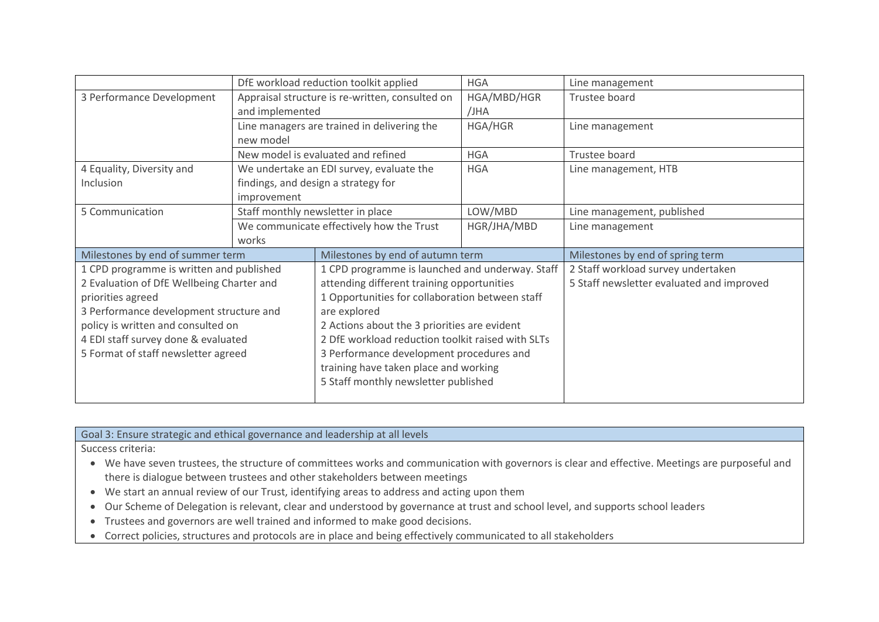|                                           | DfE workload reduction toolkit applied<br><b>HGA</b> |                                                   |             | Line management                           |
|-------------------------------------------|------------------------------------------------------|---------------------------------------------------|-------------|-------------------------------------------|
| 3 Performance Development                 | Appraisal structure is re-written, consulted on      |                                                   | HGA/MBD/HGR | Trustee board                             |
|                                           | and implemented                                      |                                                   | /JHA        |                                           |
|                                           |                                                      | Line managers are trained in delivering the       | HGA/HGR     | Line management                           |
|                                           | new model                                            |                                                   |             |                                           |
|                                           |                                                      | New model is evaluated and refined                | <b>HGA</b>  | Trustee board                             |
| 4 Equality, Diversity and                 |                                                      | We undertake an EDI survey, evaluate the          | <b>HGA</b>  | Line management, HTB                      |
| Inclusion                                 | findings, and design a strategy for                  |                                                   |             |                                           |
|                                           | improvement                                          |                                                   |             |                                           |
| 5 Communication                           |                                                      | Staff monthly newsletter in place                 | LOW/MBD     | Line management, published                |
|                                           |                                                      | We communicate effectively how the Trust          | HGR/JHA/MBD | Line management                           |
|                                           | works                                                |                                                   |             |                                           |
| Milestones by end of summer term          |                                                      | Milestones by end of autumn term                  |             | Milestones by end of spring term          |
| 1 CPD programme is written and published  |                                                      | 1 CPD programme is launched and underway. Staff   |             | 2 Staff workload survey undertaken        |
| 2 Evaluation of DfE Wellbeing Charter and |                                                      | attending different training opportunities        |             | 5 Staff newsletter evaluated and improved |
| priorities agreed                         |                                                      | 1 Opportunities for collaboration between staff   |             |                                           |
| 3 Performance development structure and   |                                                      | are explored                                      |             |                                           |
| policy is written and consulted on        |                                                      | 2 Actions about the 3 priorities are evident      |             |                                           |
| 4 EDI staff survey done & evaluated       |                                                      | 2 DfE workload reduction toolkit raised with SLTs |             |                                           |
| 5 Format of staff newsletter agreed       |                                                      | 3 Performance development procedures and          |             |                                           |
|                                           |                                                      | training have taken place and working             |             |                                           |
|                                           |                                                      | 5 Staff monthly newsletter published              |             |                                           |
|                                           |                                                      |                                                   |             |                                           |

Goal 3: Ensure strategic and ethical governance and leadership at all levels

Success criteria:

- We have seven trustees, the structure of committees works and communication with governors is clear and effective. Meetings are purposeful and there is dialogue between trustees and other stakeholders between meetings
- We start an annual review of our Trust, identifying areas to address and acting upon them
- Our Scheme of Delegation is relevant, clear and understood by governance at trust and school level, and supports school leaders
- Trustees and governors are well trained and informed to make good decisions.
- Correct policies, structures and protocols are in place and being effectively communicated to all stakeholders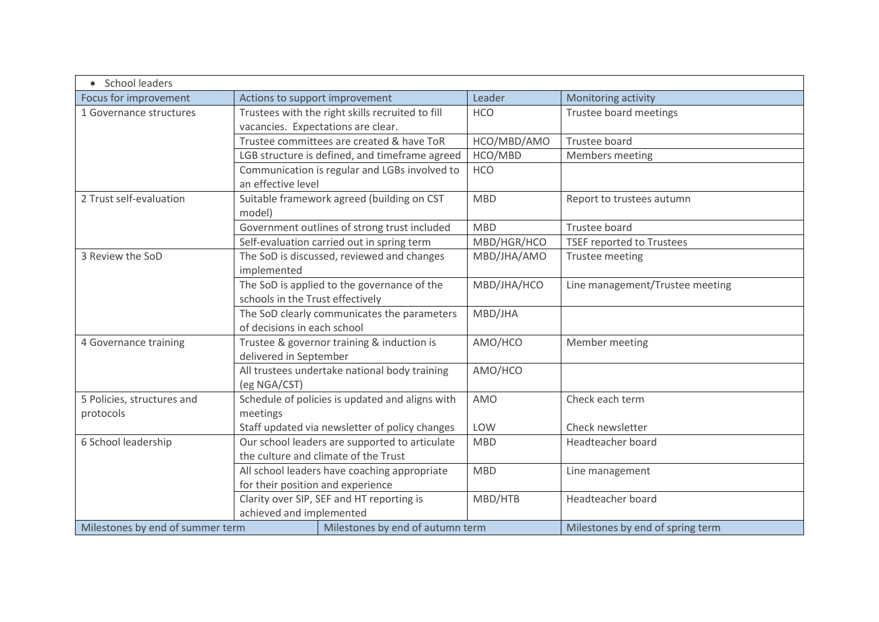| • School leaders                        |                                                                                        |             |                                  |
|-----------------------------------------|----------------------------------------------------------------------------------------|-------------|----------------------------------|
| Focus for improvement                   | Actions to support improvement                                                         | Leader      | Monitoring activity              |
| 1 Governance structures                 | Trustees with the right skills recruited to fill<br>vacancies. Expectations are clear. | <b>HCO</b>  | Trustee board meetings           |
|                                         | Trustee committees are created & have ToR                                              | HCO/MBD/AMO | Trustee board                    |
|                                         | LGB structure is defined, and timeframe agreed                                         | HCO/MBD     | Members meeting                  |
|                                         | Communication is regular and LGBs involved to<br>an effective level                    | <b>HCO</b>  |                                  |
| 2 Trust self-evaluation                 | Suitable framework agreed (building on CST<br>model)                                   | <b>MBD</b>  | Report to trustees autumn        |
|                                         | Government outlines of strong trust included                                           | <b>MBD</b>  | Trustee board                    |
|                                         | Self-evaluation carried out in spring term                                             | MBD/HGR/HCO | <b>TSEF reported to Trustees</b> |
| 3 Review the SoD                        | The SoD is discussed, reviewed and changes<br>implemented                              | MBD/JHA/AMO | Trustee meeting                  |
|                                         | The SoD is applied to the governance of the<br>schools in the Trust effectively        | MBD/JHA/HCO | Line management/Trustee meeting  |
|                                         | The SoD clearly communicates the parameters<br>of decisions in each school             | MBD/JHA     |                                  |
| 4 Governance training                   | Trustee & governor training & induction is<br>delivered in September                   | AMO/HCO     | Member meeting                   |
|                                         | All trustees undertake national body training<br>(eg NGA/CST)                          | AMO/HCO     |                                  |
| 5 Policies, structures and<br>protocols | Schedule of policies is updated and aligns with<br>meetings                            | <b>AMO</b>  | Check each term                  |
|                                         | Staff updated via newsletter of policy changes                                         | <b>LOW</b>  | Check newsletter                 |
| 6 School leadership                     | Our school leaders are supported to articulate<br>the culture and climate of the Trust | <b>MBD</b>  | Headteacher board                |
|                                         | All school leaders have coaching appropriate<br>for their position and experience      | <b>MBD</b>  | Line management                  |
|                                         | Clarity over SIP, SEF and HT reporting is<br>achieved and implemented                  | MBD/HTB     | Headteacher board                |
| Milestones by end of summer term        | Milestones by end of autumn term                                                       |             | Milestones by end of spring term |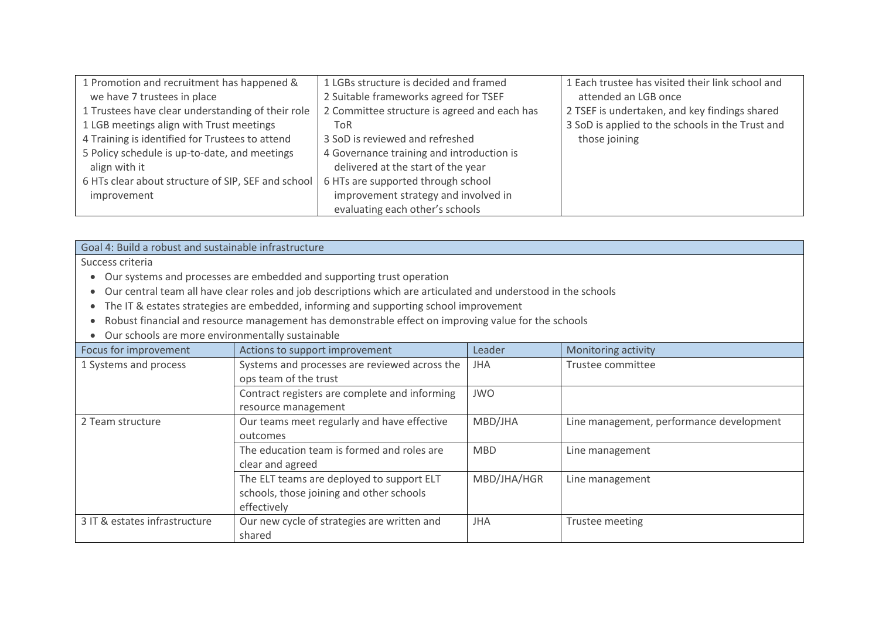| 1 Promotion and recruitment has happened &         | 1 LGBs structure is decided and framed       | 1 Each trustee has visited their link school and |
|----------------------------------------------------|----------------------------------------------|--------------------------------------------------|
| we have 7 trustees in place                        | 2 Suitable frameworks agreed for TSEF        | attended an LGB once                             |
| 1 Trustees have clear understanding of their role  | 2 Committee structure is agreed and each has | 2 TSEF is undertaken, and key findings shared    |
| 1 LGB meetings align with Trust meetings           | ToR                                          | 3 SoD is applied to the schools in the Trust and |
| 4 Training is identified for Trustees to attend    | 3 SoD is reviewed and refreshed              | those joining                                    |
| 5 Policy schedule is up-to-date, and meetings      | 4 Governance training and introduction is    |                                                  |
| align with it                                      | delivered at the start of the year           |                                                  |
| 6 HTs clear about structure of SIP, SEF and school | 6 HTs are supported through school           |                                                  |
| improvement                                        | improvement strategy and involved in         |                                                  |
|                                                    | evaluating each other's schools              |                                                  |

Goal 4: Build a robust and sustainable infrastructure

Success criteria

- Our systems and processes are embedded and supporting trust operation
- Our central team all have clear roles and job descriptions which are articulated and understood in the schools
- The IT & estates strategies are embedded, informing and supporting school improvement
- Robust financial and resource management has demonstrable effect on improving value for the schools
- Our schools are more environmentally sustainable

| <b>U an benoois are more environmentally sustainable</b> |                                               |             |                                          |  |  |
|----------------------------------------------------------|-----------------------------------------------|-------------|------------------------------------------|--|--|
| Focus for improvement                                    | Actions to support improvement                | Leader      | Monitoring activity                      |  |  |
| 1 Systems and process                                    | Systems and processes are reviewed across the | <b>JHA</b>  | Trustee committee                        |  |  |
|                                                          | ops team of the trust                         |             |                                          |  |  |
|                                                          | Contract registers are complete and informing | <b>JWO</b>  |                                          |  |  |
|                                                          | resource management                           |             |                                          |  |  |
| 2 Team structure                                         | Our teams meet regularly and have effective   | MBD/JHA     | Line management, performance development |  |  |
|                                                          | outcomes                                      |             |                                          |  |  |
|                                                          | The education team is formed and roles are    | <b>MBD</b>  | Line management                          |  |  |
|                                                          | clear and agreed                              |             |                                          |  |  |
|                                                          | The ELT teams are deployed to support ELT     | MBD/JHA/HGR | Line management                          |  |  |
|                                                          | schools, those joining and other schools      |             |                                          |  |  |
|                                                          | effectively                                   |             |                                          |  |  |
| 3 IT & estates infrastructure                            | Our new cycle of strategies are written and   | <b>JHA</b>  | Trustee meeting                          |  |  |
|                                                          | shared                                        |             |                                          |  |  |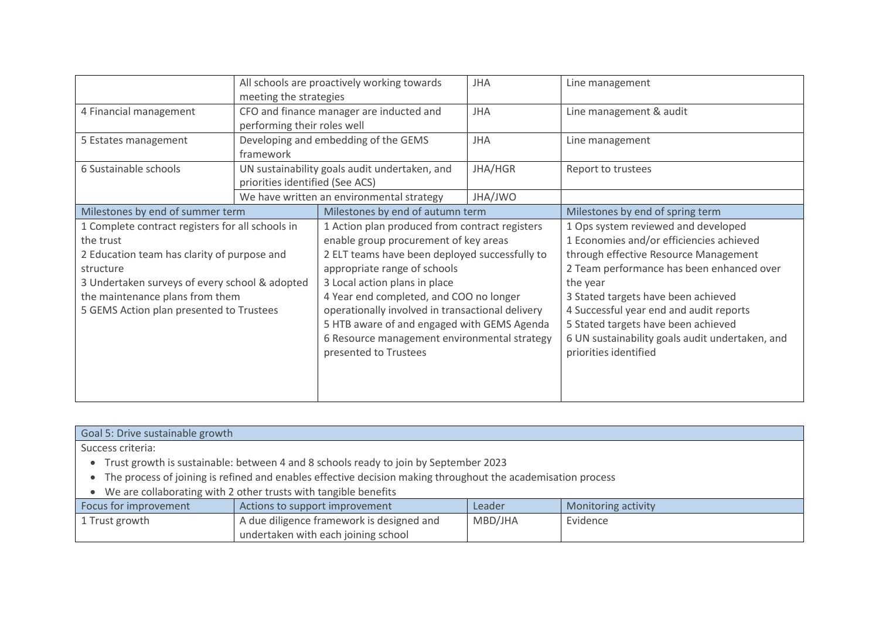|                                                  | All schools are proactively working towards<br><b>JHA</b> |                                                  |            | Line management                                 |
|--------------------------------------------------|-----------------------------------------------------------|--------------------------------------------------|------------|-------------------------------------------------|
|                                                  | meeting the strategies                                    |                                                  |            |                                                 |
| 4 Financial management                           |                                                           | CFO and finance manager are inducted and         | <b>JHA</b> | Line management & audit                         |
|                                                  | performing their roles well                               |                                                  |            |                                                 |
| 5 Estates management                             |                                                           | Developing and embedding of the GEMS             | <b>JHA</b> | Line management                                 |
|                                                  | framework                                                 |                                                  |            |                                                 |
| 6 Sustainable schools                            |                                                           | UN sustainability goals audit undertaken, and    | JHA/HGR    | Report to trustees                              |
|                                                  | priorities identified (See ACS)                           |                                                  |            |                                                 |
|                                                  |                                                           | We have written an environmental strategy        | JHA/JWO    |                                                 |
| Milestones by end of summer term                 |                                                           | Milestones by end of autumn term                 |            | Milestones by end of spring term                |
| 1 Complete contract registers for all schools in |                                                           | 1 Action plan produced from contract registers   |            | 1 Ops system reviewed and developed             |
| the trust                                        |                                                           | enable group procurement of key areas            |            | 1 Economies and/or efficiencies achieved        |
| 2 Education team has clarity of purpose and      |                                                           | 2 ELT teams have been deployed successfully to   |            | through effective Resource Management           |
| structure                                        |                                                           | appropriate range of schools                     |            | 2 Team performance has been enhanced over       |
| 3 Undertaken surveys of every school & adopted   |                                                           | 3 Local action plans in place                    |            | the year                                        |
| the maintenance plans from them                  |                                                           | 4 Year end completed, and COO no longer          |            | 3 Stated targets have been achieved             |
| 5 GEMS Action plan presented to Trustees         |                                                           | operationally involved in transactional delivery |            | 4 Successful year end and audit reports         |
|                                                  |                                                           | 5 HTB aware of and engaged with GEMS Agenda      |            | 5 Stated targets have been achieved             |
|                                                  |                                                           | 6 Resource management environmental strategy     |            | 6 UN sustainability goals audit undertaken, and |
|                                                  |                                                           | presented to Trustees                            |            | priorities identified                           |
|                                                  |                                                           |                                                  |            |                                                 |
|                                                  |                                                           |                                                  |            |                                                 |
|                                                  |                                                           |                                                  |            |                                                 |

| Goal 5: Drive sustainable growth                                                                             |                                           |         |                     |  |  |  |  |
|--------------------------------------------------------------------------------------------------------------|-------------------------------------------|---------|---------------------|--|--|--|--|
| Success criteria:                                                                                            |                                           |         |                     |  |  |  |  |
| Trust growth is sustainable: between 4 and 8 schools ready to join by September 2023                         |                                           |         |                     |  |  |  |  |
| The process of joining is refined and enables effective decision making throughout the academisation process |                                           |         |                     |  |  |  |  |
| We are collaborating with 2 other trusts with tangible benefits                                              |                                           |         |                     |  |  |  |  |
| Focus for improvement                                                                                        | Actions to support improvement            | Leader  | Monitoring activity |  |  |  |  |
| 1 Trust growth                                                                                               | A due diligence framework is designed and | MBD/JHA | Evidence            |  |  |  |  |
|                                                                                                              | undertaken with each joining school       |         |                     |  |  |  |  |